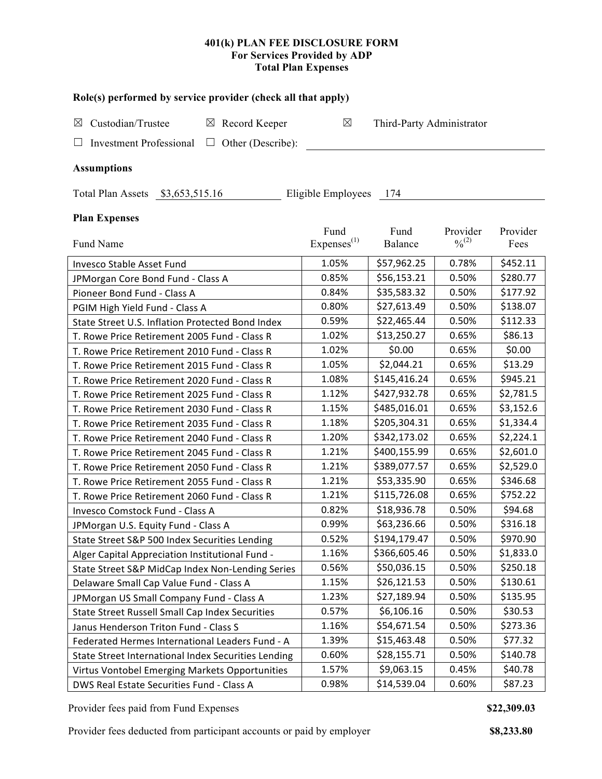# **401(k) PLAN FEE DISCLOSURE FORM For Services Provided by ADP Total Plan Expenses**

| Role(s) performed by service provider (check all that apply)    |                        |                           |             |           |  |  |  |
|-----------------------------------------------------------------|------------------------|---------------------------|-------------|-----------|--|--|--|
| Custodian/Trustee<br>$\boxtimes$ Record Keeper<br>⊠             | $\boxtimes$            | Third-Party Administrator |             |           |  |  |  |
| <b>Investment Professional</b><br>$\Box$ Other (Describe):<br>⊔ |                        |                           |             |           |  |  |  |
| <b>Assumptions</b>                                              |                        |                           |             |           |  |  |  |
|                                                                 |                        |                           |             |           |  |  |  |
| Eligible Employees 174<br>Total Plan Assets \$3,653,515.16      |                        |                           |             |           |  |  |  |
| <b>Plan Expenses</b>                                            |                        |                           |             |           |  |  |  |
|                                                                 | Fund                   | Fund                      | Provider    | Provider  |  |  |  |
| Fund Name                                                       | Express <sup>(1)</sup> | <b>Balance</b>            | $0/0^{(2)}$ | Fees      |  |  |  |
| Invesco Stable Asset Fund                                       | 1.05%                  | \$57,962.25               | 0.78%       | \$452.11  |  |  |  |
| JPMorgan Core Bond Fund - Class A                               | 0.85%                  | \$56,153.21               | 0.50%       | \$280.77  |  |  |  |
| Pioneer Bond Fund - Class A                                     | 0.84%                  | \$35,583.32               | 0.50%       | \$177.92  |  |  |  |
| PGIM High Yield Fund - Class A                                  | 0.80%                  | \$27,613.49               | 0.50%       | \$138.07  |  |  |  |
| State Street U.S. Inflation Protected Bond Index                | 0.59%                  | \$22,465.44               | 0.50%       | \$112.33  |  |  |  |
| T. Rowe Price Retirement 2005 Fund - Class R                    | 1.02%                  | \$13,250.27               | 0.65%       | \$86.13   |  |  |  |
| T. Rowe Price Retirement 2010 Fund - Class R                    | 1.02%                  | \$0.00                    | 0.65%       | \$0.00    |  |  |  |
| T. Rowe Price Retirement 2015 Fund - Class R                    | 1.05%                  | \$2,044.21                | 0.65%       | \$13.29   |  |  |  |
| T. Rowe Price Retirement 2020 Fund - Class R                    | 1.08%                  | \$145,416.24              | 0.65%       | \$945.21  |  |  |  |
| T. Rowe Price Retirement 2025 Fund - Class R                    | 1.12%                  | \$427,932.78              | 0.65%       | \$2,781.5 |  |  |  |
| T. Rowe Price Retirement 2030 Fund - Class R                    | 1.15%                  | \$485,016.01              | 0.65%       | \$3,152.6 |  |  |  |
| T. Rowe Price Retirement 2035 Fund - Class R                    | 1.18%                  | \$205,304.31              | 0.65%       | \$1,334.4 |  |  |  |
| T. Rowe Price Retirement 2040 Fund - Class R                    | 1.20%                  | \$342,173.02              | 0.65%       | \$2,224.1 |  |  |  |
| T. Rowe Price Retirement 2045 Fund - Class R                    | 1.21%                  | \$400,155.99              | 0.65%       | \$2,601.0 |  |  |  |
| T. Rowe Price Retirement 2050 Fund - Class R                    | 1.21%                  | \$389,077.57              | 0.65%       | \$2,529.0 |  |  |  |
| T. Rowe Price Retirement 2055 Fund - Class R                    | 1.21%                  | \$53,335.90               | 0.65%       | \$346.68  |  |  |  |
| T. Rowe Price Retirement 2060 Fund - Class R                    | 1.21%                  | \$115,726.08              | 0.65%       | \$752.22  |  |  |  |
| Invesco Comstock Fund - Class A                                 | 0.82%                  | \$18,936.78               | 0.50%       | \$94.68   |  |  |  |
| JPMorgan U.S. Equity Fund - Class A                             | 0.99%                  | \$63,236.66               | 0.50%       | \$316.18  |  |  |  |
| State Street S&P 500 Index Securities Lending                   | 0.52%                  | \$194,179.47              | 0.50%       | \$970.90  |  |  |  |
| Alger Capital Appreciation Institutional Fund -                 | 1.16%                  | \$366,605.46              | 0.50%       | \$1,833.0 |  |  |  |
| State Street S&P MidCap Index Non-Lending Series                | 0.56%                  | \$50,036.15               | 0.50%       | \$250.18  |  |  |  |
| Delaware Small Cap Value Fund - Class A                         | 1.15%                  | \$26,121.53               | 0.50%       | \$130.61  |  |  |  |
| JPMorgan US Small Company Fund - Class A                        | 1.23%                  | \$27,189.94               | 0.50%       | \$135.95  |  |  |  |
| State Street Russell Small Cap Index Securities                 | 0.57%                  | \$6,106.16                | 0.50%       | \$30.53   |  |  |  |
| Janus Henderson Triton Fund - Class S                           | 1.16%                  | \$54,671.54               | 0.50%       | \$273.36  |  |  |  |
| Federated Hermes International Leaders Fund - A                 | 1.39%                  | \$15,463.48               | 0.50%       | \$77.32   |  |  |  |
| State Street International Index Securities Lending             | 0.60%                  | \$28,155.71               | 0.50%       | \$140.78  |  |  |  |
| Virtus Vontobel Emerging Markets Opportunities                  | 1.57%                  | \$9,063.15                | 0.45%       | \$40.78   |  |  |  |
| DWS Real Estate Securities Fund - Class A                       | 0.98%                  | \$14,539.04               | 0.60%       | \$87.23   |  |  |  |

Provider fees paid from Fund Expenses **\$22,309.03**

Provider fees deducted from participant accounts or paid by employer **\$8,233.80**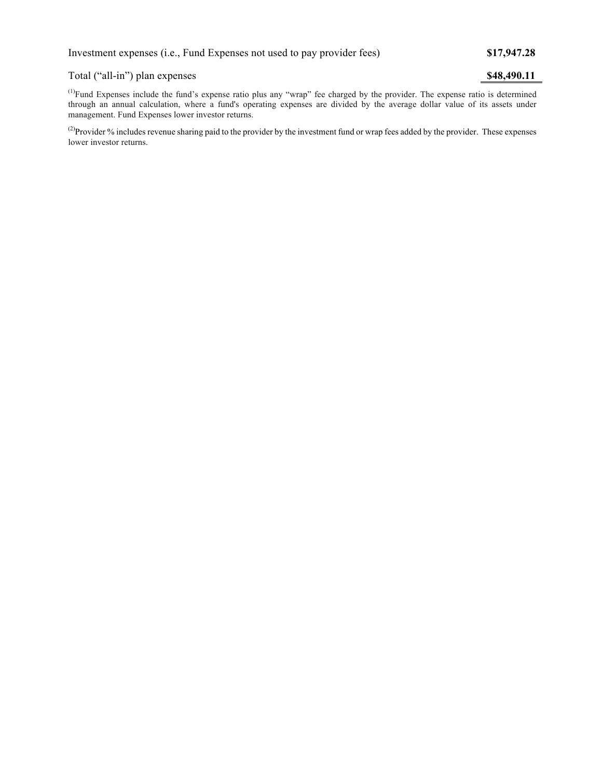## Total ("all-in") plan expenses **\$48,490.11**

 $<sup>(1)</sup>Fund Expresses include the fund's expense ratio plus any "wrap" fee charged by the provider. The expense ratio is determined$ </sup> through an annual calculation, where a fund's operating expenses are divided by the average dollar value of its assets under management. Fund Expenses lower investor returns.

<sup>(2)</sup>Provider % includes revenue sharing paid to the provider by the investment fund or wrap fees added by the provider. These expenses lower investor returns.